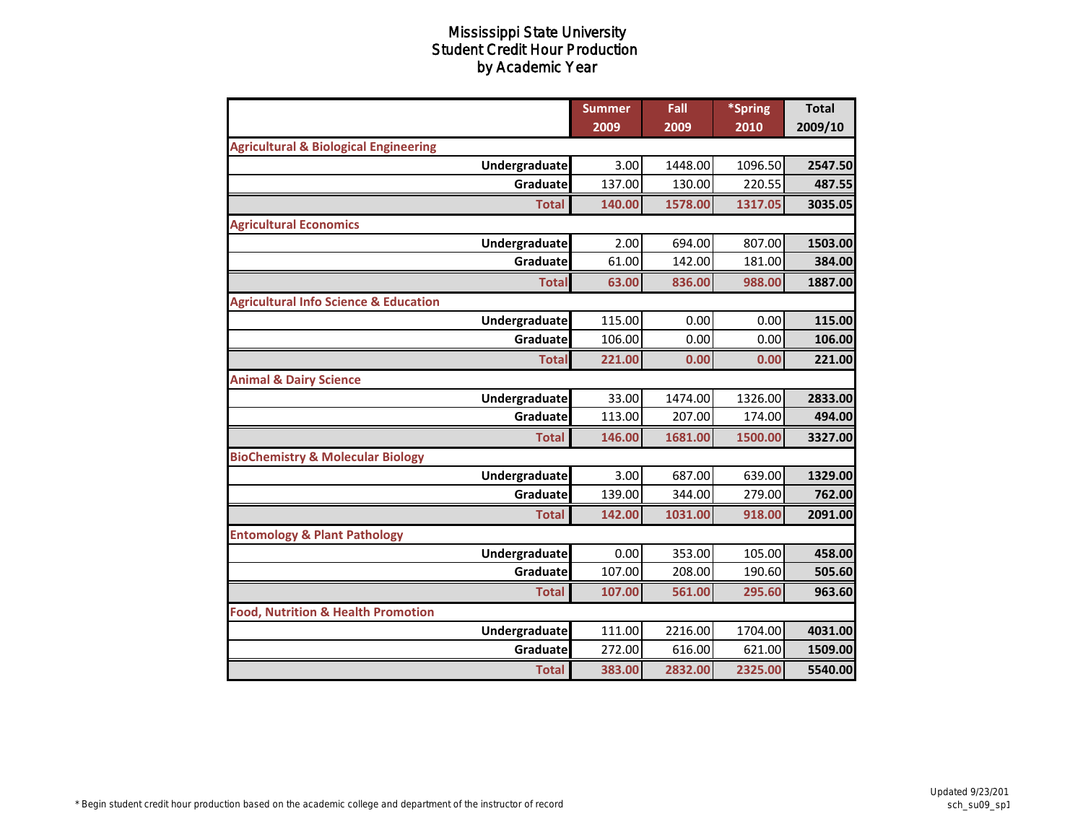|                                                  |                      | <b>Summer</b><br>2009 | Fall<br>2009 | *Spring<br>2010 | <b>Total</b><br>2009/10 |
|--------------------------------------------------|----------------------|-----------------------|--------------|-----------------|-------------------------|
| <b>Agricultural &amp; Biological Engineering</b> |                      |                       |              |                 |                         |
|                                                  | <b>Undergraduate</b> | 3.00                  | 1448.00      | 1096.50         | 2547.50                 |
|                                                  | Graduate             | 137.00                | 130.00       | 220.55          | 487.55                  |
|                                                  | <b>Total</b>         | 140.00                | 1578.00      | 1317.05         | 3035.05                 |
| <b>Agricultural Economics</b>                    |                      |                       |              |                 |                         |
|                                                  | Undergraduate        | 2.00                  | 694.00       | 807.00          | 1503.00                 |
|                                                  | Graduate             | 61.00                 | 142.00       | 181.00          | 384.00                  |
|                                                  | <b>Total</b>         | 63.00                 | 836.00       | 988.00          | 1887.00                 |
| <b>Agricultural Info Science &amp; Education</b> |                      |                       |              |                 |                         |
|                                                  | Undergraduate        | 115.00                | 0.00         | 0.00            | 115.00                  |
|                                                  | Graduate             | 106.00                | 0.00         | 0.00            | 106.00                  |
|                                                  | <b>Total</b>         | 221.00                | 0.00         | 0.00            | 221.00                  |
| <b>Animal &amp; Dairy Science</b>                |                      |                       |              |                 |                         |
|                                                  | Undergraduate        | 33.00                 | 1474.00      | 1326.00         | 2833.00                 |
|                                                  | Graduate             | 113.00                | 207.00       | 174.00          | 494.00                  |
|                                                  | <b>Total</b>         | 146.00                | 1681.00      | 1500.00         | 3327.00                 |
| <b>BioChemistry &amp; Molecular Biology</b>      |                      |                       |              |                 |                         |
|                                                  | Undergraduate        | 3.00                  | 687.00       | 639.00          | 1329.00                 |
|                                                  | Graduate             | 139.00                | 344.00       | 279.00          | 762.00                  |
|                                                  | <b>Total</b>         | 142.00                | 1031.00      | 918.00          | 2091.00                 |
| <b>Entomology &amp; Plant Pathology</b>          |                      |                       |              |                 |                         |
|                                                  | Undergraduate        | 0.00                  | 353.00       | 105.00          | 458.00                  |
|                                                  | Graduate             | 107.00                | 208.00       | 190.60          | 505.60                  |
|                                                  | <b>Total</b>         | 107.00                | 561.00       | 295.60          | 963.60                  |
| <b>Food, Nutrition &amp; Health Promotion</b>    |                      |                       |              |                 |                         |
|                                                  | Undergraduate        | 111.00                | 2216.00      | 1704.00         | 4031.00                 |
|                                                  | Graduate             | 272.00                | 616.00       | 621.00          | 1509.00                 |
|                                                  | <b>Total</b>         | 383.00                | 2832.00      | 2325.00         | 5540.00                 |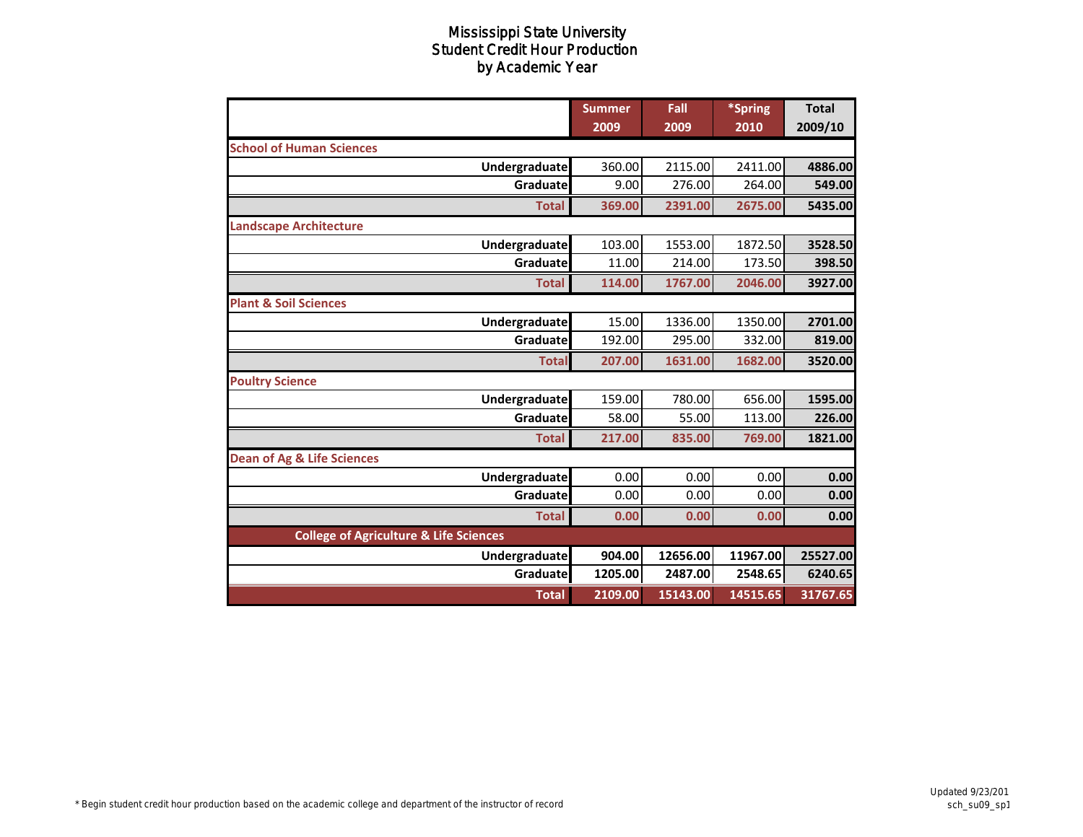|                                                   | <b>Summer</b><br>2009 | Fall<br>2009 | *Spring<br>2010 | <b>Total</b><br>2009/10 |
|---------------------------------------------------|-----------------------|--------------|-----------------|-------------------------|
| <b>School of Human Sciences</b>                   |                       |              |                 |                         |
| Undergraduate                                     | 360.00                | 2115.00      | 2411.00         | 4886.00                 |
| Graduate                                          | 9.00                  | 276.00       | 264.00          | 549.00                  |
| <b>Total</b>                                      | 369.00                | 2391.00      | 2675.00         | 5435.00                 |
| <b>Landscape Architecture</b>                     |                       |              |                 |                         |
| <b>Undergraduate</b>                              | 103.00                | 1553.00      | 1872.50         | 3528.50                 |
| Graduate                                          | 11.00                 | 214.00       | 173.50          | 398.50                  |
| <b>Total</b>                                      | 114.00                | 1767.00      | 2046.00         | 3927.00                 |
| <b>Plant &amp; Soil Sciences</b>                  |                       |              |                 |                         |
| <b>Undergraduate</b>                              | 15.00                 | 1336.00      | 1350.00         | 2701.00                 |
| Graduate                                          | 192.00                | 295.00       | 332.00          | 819.00                  |
| <b>Total</b>                                      | 207.00                | 1631.00      | 1682.00         | 3520.00                 |
| <b>Poultry Science</b>                            |                       |              |                 |                         |
| Undergraduate                                     | 159.00                | 780.00       | 656.00          | 1595.00                 |
| Graduate                                          | 58.00                 | 55.00        | 113.00          | 226.00                  |
| <b>Total</b>                                      | 217.00                | 835.00       | 769.00          | 1821.00                 |
| <b>Dean of Ag &amp; Life Sciences</b>             |                       |              |                 |                         |
| Undergraduate                                     | 0.00                  | 0.00         | 0.00            | 0.00                    |
| Graduate                                          | 0.00                  | 0.00         | 0.00            | 0.00                    |
| <b>Total</b>                                      | 0.00                  | 0.00         | 0.00            | 0.00                    |
| <b>College of Agriculture &amp; Life Sciences</b> |                       |              |                 |                         |
| Undergraduate                                     | 904.00                | 12656.00     | 11967.00        | 25527.00                |
| Graduate                                          | 1205.00               | 2487.00      | 2548.65         | 6240.65                 |
| <b>Total</b>                                      | 2109.00               | 15143.00     | 14515.65        | 31767.65                |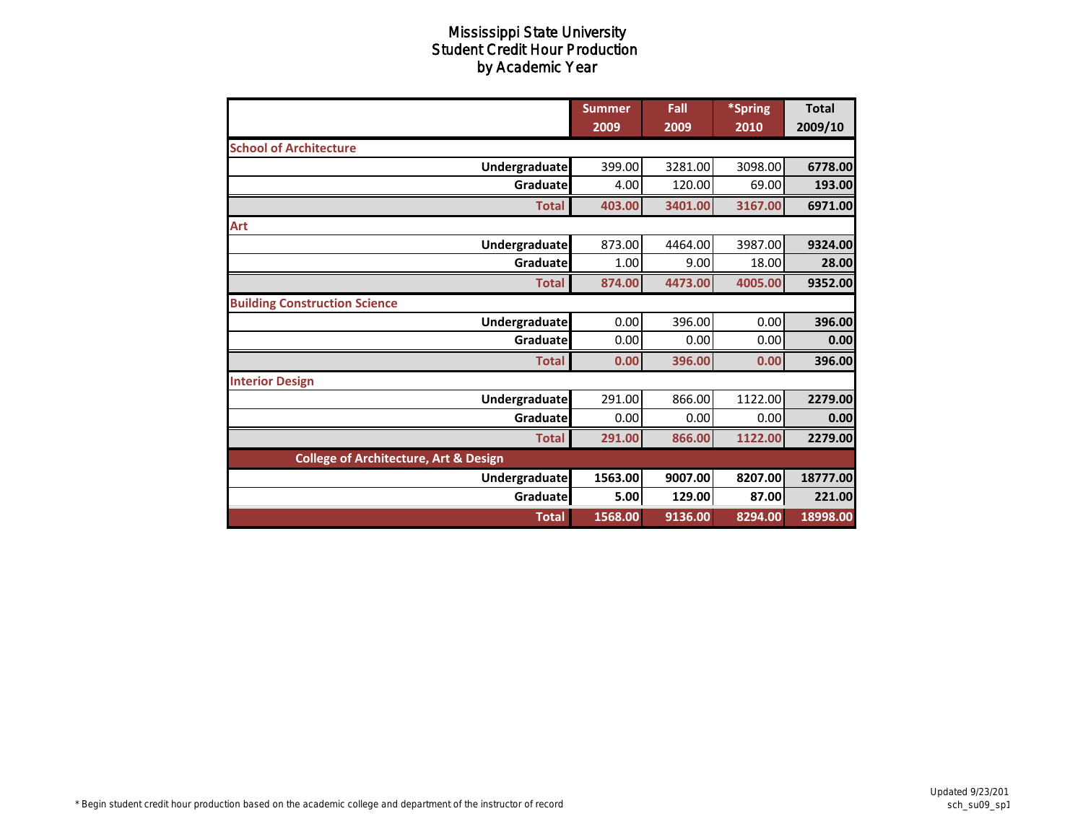|                                                  | <b>Summer</b><br>2009 | Fall<br>2009 | *Spring<br>2010 | <b>Total</b><br>2009/10 |
|--------------------------------------------------|-----------------------|--------------|-----------------|-------------------------|
| <b>School of Architecture</b>                    |                       |              |                 |                         |
| Undergraduate                                    | 399.00                | 3281.00      | 3098.00         | 6778.00                 |
| Graduate                                         | 4.00                  | 120.00       | 69.00           | 193.00                  |
| <b>Total</b>                                     | 403.00                | 3401.00      | 3167.00         | 6971.00                 |
| Art                                              |                       |              |                 |                         |
| <b>Undergraduate</b>                             | 873.00                | 4464.00      | 3987.00         | 9324.00                 |
| Graduate                                         | 1.00                  | 9.00         | 18.00           | 28.00                   |
| <b>Total</b>                                     | 874.00                | 4473.00      | 4005.00         | 9352.00                 |
| <b>Building Construction Science</b>             |                       |              |                 |                         |
| Undergraduate                                    | 0.00                  | 396.00       | 0.00            | 396.00                  |
| Graduate                                         | 0.00                  | 0.00         | 0.00            | 0.00                    |
| <b>Total</b>                                     | 0.00                  | 396.00       | 0.00            | 396.00                  |
| <b>Interior Design</b>                           |                       |              |                 |                         |
| Undergraduate                                    | 291.00                | 866.00       | 1122.00         | 2279.00                 |
| Graduate                                         | 0.00                  | 0.00         | 0.00            | 0.00                    |
| <b>Total</b>                                     | 291.00                | 866.00       | 1122.00         | 2279.00                 |
| <b>College of Architecture, Art &amp; Design</b> |                       |              |                 |                         |
| Undergraduate                                    | 1563.00               | 9007.00      | 8207.00         | 18777.00                |
| Graduate                                         | 5.00                  | 129.00       | 87.00           | 221.00                  |
| <b>Total</b>                                     | 1568.00               | 9136.00      | 8294.00         | 18998.00                |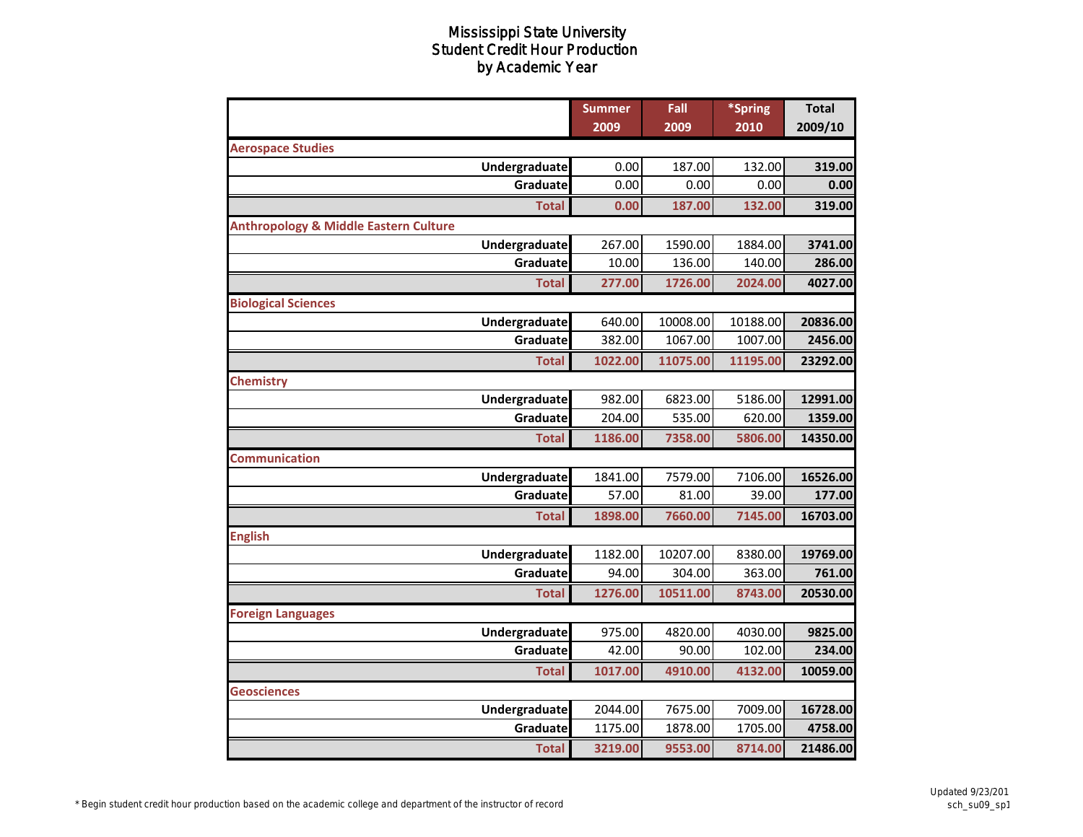|                                                  |               | <b>Summer</b> | Fall     | *Spring  | <b>Total</b> |
|--------------------------------------------------|---------------|---------------|----------|----------|--------------|
|                                                  |               | 2009          | 2009     | 2010     | 2009/10      |
| <b>Aerospace Studies</b>                         |               |               |          |          |              |
|                                                  | Undergraduate | 0.00          | 187.00   | 132.00   | 319.00       |
|                                                  | Graduate      | 0.00          | 0.00     | 0.00     | 0.00         |
|                                                  | <b>Total</b>  | 0.00          | 187.00   | 132.00   | 319.00       |
| <b>Anthropology &amp; Middle Eastern Culture</b> |               |               |          |          |              |
|                                                  | Undergraduate | 267.00        | 1590.00  | 1884.00  | 3741.00      |
|                                                  | Graduate      | 10.00         | 136.00   | 140.00   | 286.00       |
|                                                  | <b>Total</b>  | 277.00        | 1726.00  | 2024.00  | 4027.00      |
| <b>Biological Sciences</b>                       |               |               |          |          |              |
|                                                  | Undergraduate | 640.00        | 10008.00 | 10188.00 | 20836.00     |
|                                                  | Graduate      | 382.00        | 1067.00  | 1007.00  | 2456.00      |
|                                                  | <b>Total</b>  | 1022.00       | 11075.00 | 11195.00 | 23292.00     |
| <b>Chemistry</b>                                 |               |               |          |          |              |
|                                                  | Undergraduate | 982.00        | 6823.00  | 5186.00  | 12991.00     |
|                                                  | Graduate      | 204.00        | 535.00   | 620.00   | 1359.00      |
|                                                  | <b>Total</b>  | 1186.00       | 7358.00  | 5806.00  | 14350.00     |
| <b>Communication</b>                             |               |               |          |          |              |
|                                                  | Undergraduate | 1841.00       | 7579.00  | 7106.00  | 16526.00     |
|                                                  | Graduate      | 57.00         | 81.00    | 39.00    | 177.00       |
|                                                  | <b>Total</b>  | 1898.00       | 7660.00  | 7145.00  | 16703.00     |
| <b>English</b>                                   |               |               |          |          |              |
|                                                  | Undergraduate | 1182.00       | 10207.00 | 8380.00  | 19769.00     |
|                                                  | Graduate      | 94.00         | 304.00   | 363.00   | 761.00       |
|                                                  | <b>Total</b>  | 1276.00       | 10511.00 | 8743.00  | 20530.00     |
| <b>Foreign Languages</b>                         |               |               |          |          |              |
|                                                  | Undergraduate | 975.00        | 4820.00  | 4030.00  | 9825.00      |
|                                                  | Graduate      | 42.00         | 90.00    | 102.00   | 234.00       |
|                                                  | <b>Total</b>  | 1017.00       | 4910.00  | 4132.00  | 10059.00     |
| <b>Geosciences</b>                               |               |               |          |          |              |
|                                                  | Undergraduate | 2044.00       | 7675.00  | 7009.00  | 16728.00     |
|                                                  | Graduate      | 1175.00       | 1878.00  | 1705.00  | 4758.00      |
|                                                  | <b>Total</b>  | 3219.00       | 9553.00  | 8714.00  | 21486.00     |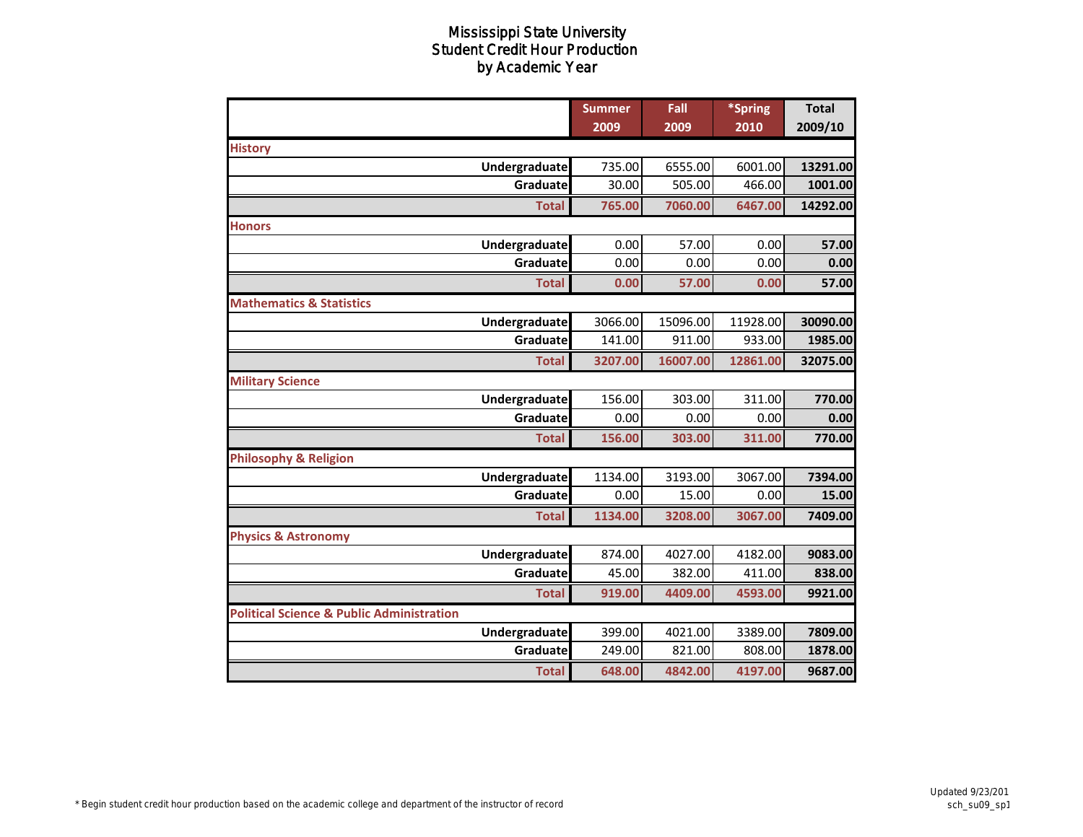|                                                      |                            | <b>Summer</b> | Fall          | *Spring      | <b>Total</b>        |
|------------------------------------------------------|----------------------------|---------------|---------------|--------------|---------------------|
|                                                      |                            | 2009          | 2009          | 2010         | 2009/10             |
| <b>History</b>                                       |                            | 735.00        | 6555.00       | 6001.00      |                     |
|                                                      | Undergraduate<br>Graduatel | 30.00         | 505.00        | 466.00       | 13291.00<br>1001.00 |
|                                                      |                            |               |               |              |                     |
|                                                      | <b>Total</b>               | 765.00        | 7060.00       | 6467.00      | 14292.00            |
| <b>Honors</b>                                        |                            |               |               |              |                     |
|                                                      | Undergraduate<br>Graduate  | 0.00<br>0.00  | 57.00<br>0.00 | 0.00<br>0.00 | 57.00               |
|                                                      |                            |               |               |              | 0.00                |
|                                                      | <b>Total</b>               | 0.00          | 57.00         | 0.00         | 57.00               |
| <b>Mathematics &amp; Statistics</b>                  |                            |               |               |              |                     |
|                                                      | Undergraduate              | 3066.00       | 15096.00      | 11928.00     | 30090.00            |
|                                                      | Graduate                   | 141.00        | 911.00        | 933.00       | 1985.00             |
|                                                      | <b>Total</b>               | 3207.00       | 16007.00      | 12861.00     | 32075.00            |
| <b>Military Science</b>                              |                            |               |               |              |                     |
|                                                      | Undergraduate              | 156.00        | 303.00        | 311.00       | 770.00              |
|                                                      | Graduate                   | 0.00          | 0.00          | 0.00         | 0.00                |
|                                                      | <b>Total</b>               | 156.00        | 303.00        | 311.00       | 770.00              |
| <b>Philosophy &amp; Religion</b>                     |                            |               |               |              |                     |
|                                                      | <b>Undergraduate</b>       | 1134.00       | 3193.00       | 3067.00      | 7394.00             |
|                                                      | Graduate                   | 0.00          | 15.00         | 0.00         | 15.00               |
|                                                      | <b>Total</b>               | 1134.00       | 3208.00       | 3067.00      | 7409.00             |
| <b>Physics &amp; Astronomy</b>                       |                            |               |               |              |                     |
|                                                      | Undergraduate              | 874.00        | 4027.00       | 4182.00      | 9083.00             |
|                                                      | Graduate                   | 45.00         | 382.00        | 411.00       | 838.00              |
|                                                      | <b>Total</b>               | 919.00        | 4409.00       | 4593.00      | 9921.00             |
| <b>Political Science &amp; Public Administration</b> |                            |               |               |              |                     |
|                                                      | Undergraduate              | 399.00        | 4021.00       | 3389.00      | 7809.00             |
|                                                      | Graduate                   | 249.00        | 821.00        | 808.00       | 1878.00             |
|                                                      | <b>Total</b>               | 648.00        | 4842.00       | 4197.00      | 9687.00             |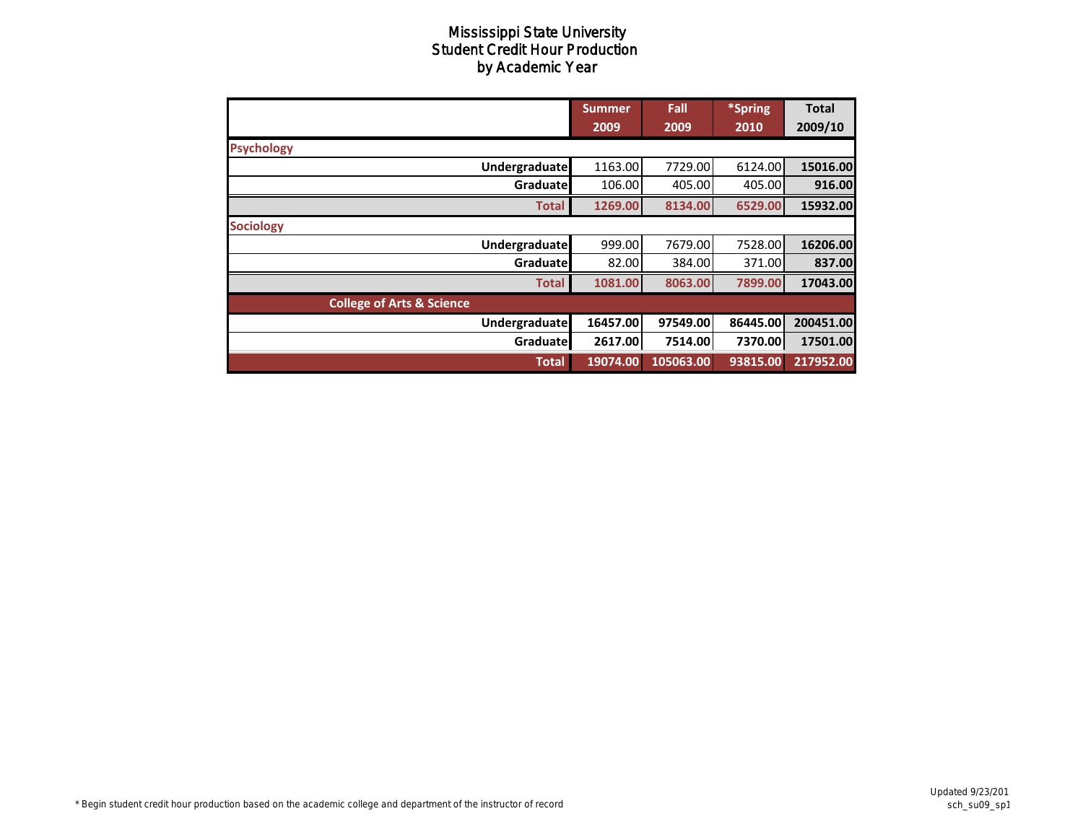|                                      | <b>Summer</b> | Fall      | *Spring  | <b>Total</b> |
|--------------------------------------|---------------|-----------|----------|--------------|
|                                      | 2009          | 2009      | 2010     | 2009/10      |
| <b>Psychology</b>                    |               |           |          |              |
| Undergraduate                        | 1163.00       | 7729.00   | 6124.00  | 15016.00     |
| Graduate                             | 106.00        | 405.00    | 405.00   | 916.00       |
| <b>Total</b>                         | 1269.00       | 8134.00   | 6529.00  | 15932.00     |
| <b>Sociology</b>                     |               |           |          |              |
| <b>Undergraduate</b>                 | 999.00        | 7679.00   | 7528.00  | 16206.00     |
| Graduate                             | 82.00         | 384.00    | 371.00   | 837.00       |
| <b>Total</b>                         | 1081.00       | 8063.00   | 7899.00  | 17043.00     |
| <b>College of Arts &amp; Science</b> |               |           |          |              |
| Undergraduate                        | 16457.00      | 97549.00  | 86445.00 | 200451.00    |
| Graduate                             | 2617.00       | 7514.00   | 7370.00  | 17501.00     |
| <b>Total</b>                         | 19074.00      | 105063.00 | 93815.00 | 217952.00    |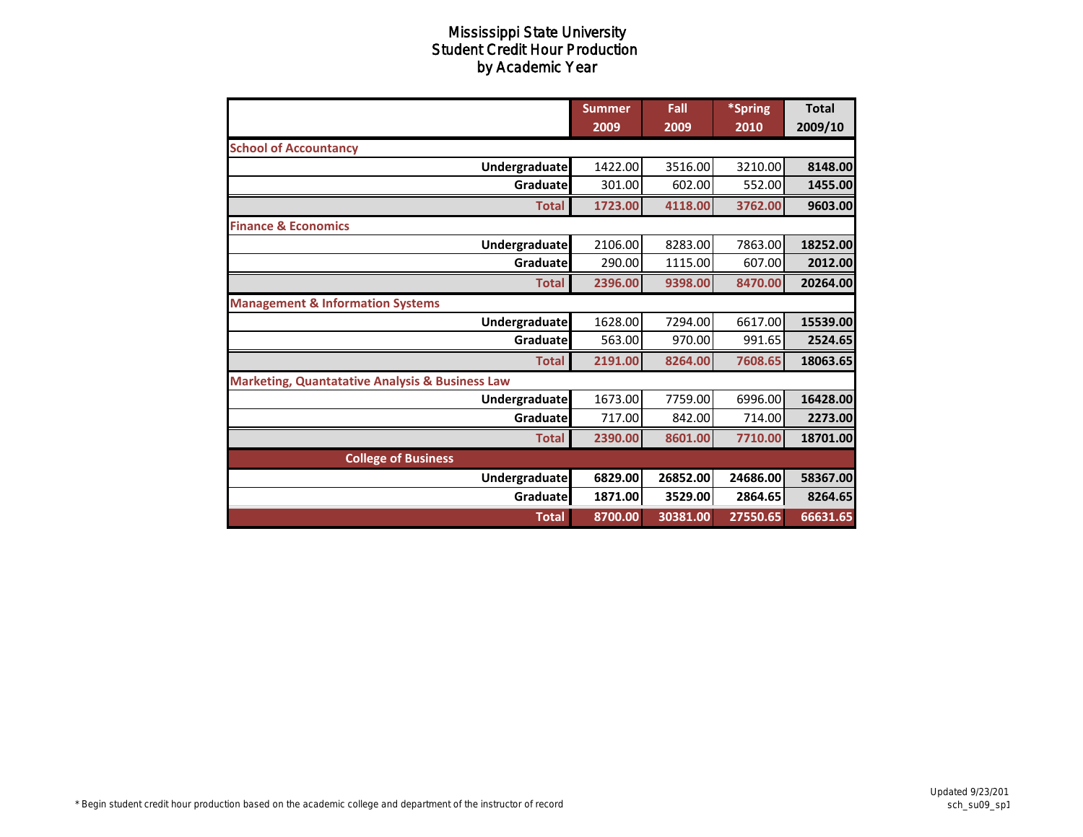|                                                            | <b>Summer</b><br>2009 | Fall<br>2009 | *Spring<br>2010 | <b>Total</b><br>2009/10 |
|------------------------------------------------------------|-----------------------|--------------|-----------------|-------------------------|
| <b>School of Accountancy</b>                               |                       |              |                 |                         |
| Undergraduate                                              | 1422.00               | 3516.00      | 3210.00         | 8148.00                 |
| Graduate                                                   | 301.00                | 602.00       | 552.00          | 1455.00                 |
| <b>Total</b>                                               | 1723.00               | 4118.00      | 3762.00         | 9603.00                 |
| <b>Finance &amp; Economics</b>                             |                       |              |                 |                         |
| <b>Undergraduate</b>                                       | 2106.00               | 8283.00      | 7863.00         | 18252.00                |
| Graduate                                                   | 290.00                | 1115.00      | 607.00          | 2012.00                 |
| <b>Total</b>                                               | 2396.00               | 9398.00      | 8470.00         | 20264.00                |
| <b>Management &amp; Information Systems</b>                |                       |              |                 |                         |
| <b>Undergraduate</b>                                       | 1628.00               | 7294.00      | 6617.00         | 15539.00                |
| Graduate                                                   | 563.00                | 970.00       | 991.65          | 2524.65                 |
| <b>Total</b>                                               | 2191.00               | 8264.00      | 7608.65         | 18063.65                |
| <b>Marketing, Quantatative Analysis &amp; Business Law</b> |                       |              |                 |                         |
| Undergraduate                                              | 1673.00               | 7759.00      | 6996.00         | 16428.00                |
| Graduate                                                   | 717.00                | 842.00       | 714.00          | 2273.00                 |
| <b>Total</b>                                               | 2390.00               | 8601.00      | 7710.00         | 18701.00                |
| <b>College of Business</b>                                 |                       |              |                 |                         |
| Undergraduate                                              | 6829.00               | 26852.00     | 24686.00        | 58367.00                |
| Graduate                                                   | 1871.00               | 3529.00      | 2864.65         | 8264.65                 |
| <b>Total</b>                                               | 8700.00               | 30381.00     | 27550.65        | 66631.65                |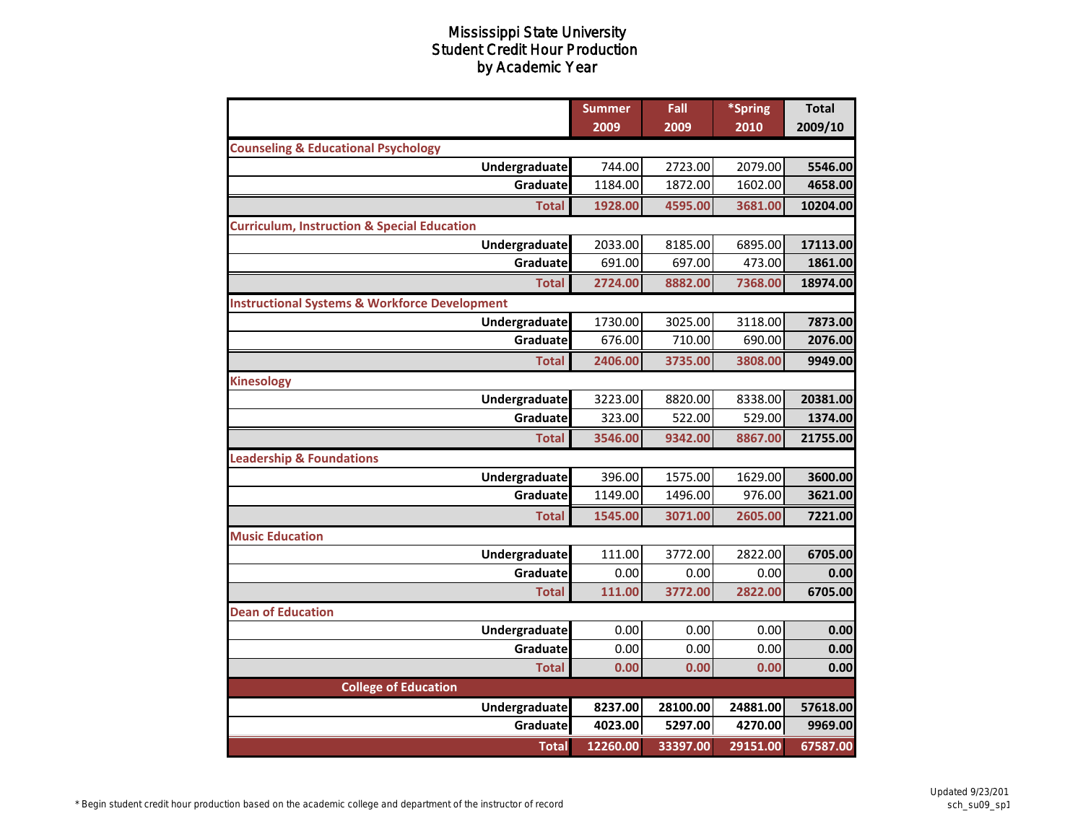|                                                          | <b>Summer</b> | Fall     | *Spring  | <b>Total</b> |
|----------------------------------------------------------|---------------|----------|----------|--------------|
|                                                          | 2009          | 2009     | 2010     | 2009/10      |
| <b>Counseling &amp; Educational Psychology</b>           |               |          |          |              |
| Undergraduate                                            | 744.00        | 2723.00  | 2079.00  | 5546.00      |
| Graduate                                                 | 1184.00       | 1872.00  | 1602.00  | 4658.00      |
| <b>Total</b>                                             | 1928.00       | 4595.00  | 3681.00  | 10204.00     |
| <b>Curriculum, Instruction &amp; Special Education</b>   |               |          |          |              |
| Undergraduate                                            | 2033.00       | 8185.00  | 6895.00  | 17113.00     |
| Graduate                                                 | 691.00        | 697.00   | 473.00   | 1861.00      |
| <b>Total</b>                                             | 2724.00       | 8882.00  | 7368.00  | 18974.00     |
| <b>Instructional Systems &amp; Workforce Development</b> |               |          |          |              |
| Undergraduate                                            | 1730.00       | 3025.00  | 3118.00  | 7873.00      |
| Graduate                                                 | 676.00        | 710.00   | 690.00   | 2076.00      |
| <b>Total</b>                                             | 2406.00       | 3735.00  | 3808.00  | 9949.00      |
| <b>Kinesology</b>                                        |               |          |          |              |
| Undergraduate                                            | 3223.00       | 8820.00  | 8338.00  | 20381.00     |
| Graduate                                                 | 323.00        | 522.00   | 529.00   | 1374.00      |
| <b>Total</b>                                             | 3546.00       | 9342.00  | 8867.00  | 21755.00     |
| <b>Leadership &amp; Foundations</b>                      |               |          |          |              |
| Undergraduate                                            | 396.00        | 1575.00  | 1629.00  | 3600.00      |
| Graduate                                                 | 1149.00       | 1496.00  | 976.00   | 3621.00      |
| <b>Total</b>                                             | 1545.00       | 3071.00  | 2605.00  | 7221.00      |
| <b>Music Education</b>                                   |               |          |          |              |
| Undergraduate                                            | 111.00        | 3772.00  | 2822.00  | 6705.00      |
| Graduate                                                 | 0.00          | 0.00     | 0.00     | 0.00         |
| <b>Total</b>                                             | 111.00        | 3772.00  | 2822.00  | 6705.00      |
| <b>Dean of Education</b>                                 |               |          |          |              |
| Undergraduate                                            | 0.00          | 0.00     | 0.00     | 0.00         |
| Graduate                                                 | 0.00          | 0.00     | 0.00     | 0.00         |
| <b>Total</b>                                             | 0.00          | 0.00     | 0.00     | 0.00         |
| <b>College of Education</b>                              |               |          |          |              |
| Undergraduate                                            | 8237.00       | 28100.00 | 24881.00 | 57618.00     |
| Graduate                                                 | 4023.00       | 5297.00  | 4270.00  | 9969.00      |
| <b>Total</b>                                             | 12260.00      | 33397.00 | 29151.00 | 67587.00     |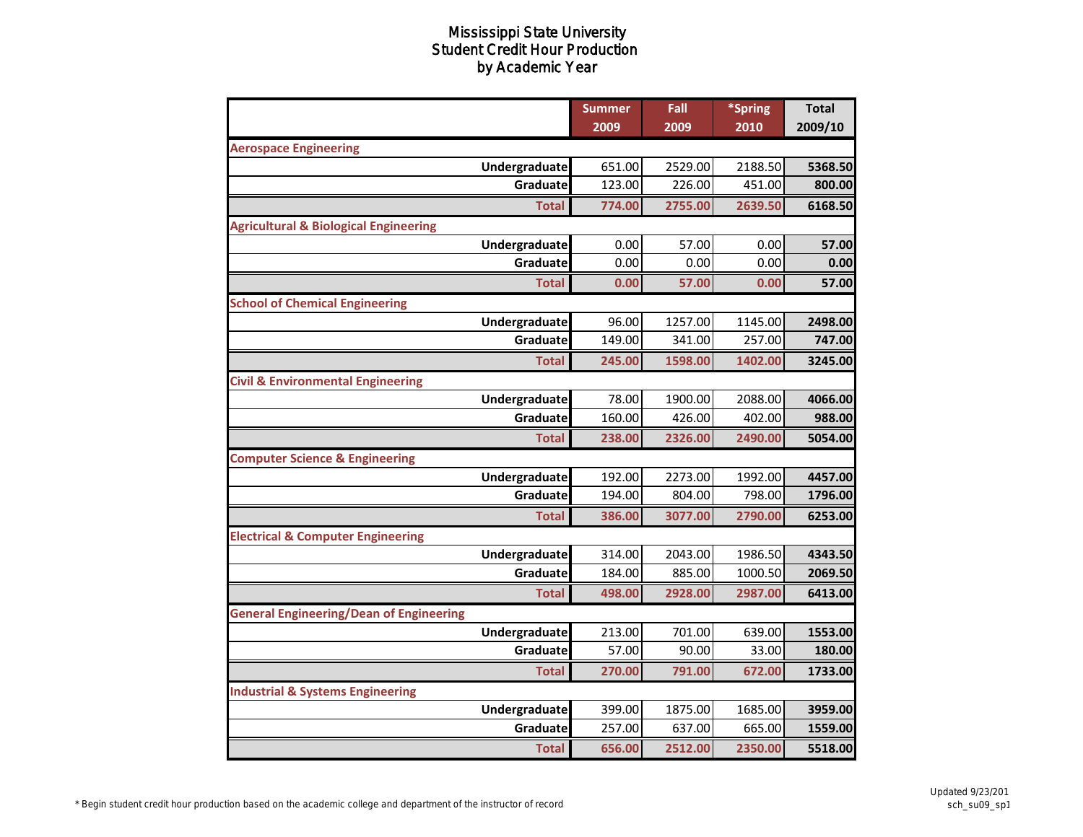|                                                  | <b>Summer</b> | Fall    | *Spring | <b>Total</b> |
|--------------------------------------------------|---------------|---------|---------|--------------|
|                                                  | 2009          | 2009    | 2010    | 2009/10      |
| <b>Aerospace Engineering</b>                     |               |         |         |              |
| Undergraduate                                    | 651.00        | 2529.00 | 2188.50 | 5368.50      |
| Graduate                                         | 123.00        | 226.00  | 451.00  | 800.00       |
| <b>Total</b>                                     | 774.00        | 2755.00 | 2639.50 | 6168.50      |
| <b>Agricultural &amp; Biological Engineering</b> |               |         |         |              |
| Undergraduate                                    | 0.00          | 57.00   | 0.00    | 57.00        |
| Graduate                                         | 0.00          | 0.00    | 0.00    | 0.00         |
| <b>Total</b>                                     | 0.00          | 57.00   | 0.00    | 57.00        |
| <b>School of Chemical Engineering</b>            |               |         |         |              |
| Undergraduate                                    | 96.00         | 1257.00 | 1145.00 | 2498.00      |
| Graduate                                         | 149.00        | 341.00  | 257.00  | 747.00       |
| <b>Total</b>                                     | 245.00        | 1598.00 | 1402.00 | 3245.00      |
| <b>Civil &amp; Environmental Engineering</b>     |               |         |         |              |
| Undergraduate                                    | 78.00         | 1900.00 | 2088.00 | 4066.00      |
| Graduate                                         | 160.00        | 426.00  | 402.00  | 988.00       |
| <b>Total</b>                                     | 238.00        | 2326.00 | 2490.00 | 5054.00      |
| <b>Computer Science &amp; Engineering</b>        |               |         |         |              |
| Undergraduate                                    | 192.00        | 2273.00 | 1992.00 | 4457.00      |
| Graduate                                         | 194.00        | 804.00  | 798.00  | 1796.00      |
| <b>Total</b>                                     | 386.00        | 3077.00 | 2790.00 | 6253.00      |
| <b>Electrical &amp; Computer Engineering</b>     |               |         |         |              |
| Undergraduate                                    | 314.00        | 2043.00 | 1986.50 | 4343.50      |
| Graduate                                         | 184.00        | 885.00  | 1000.50 | 2069.50      |
| <b>Total</b>                                     | 498.00        | 2928.00 | 2987.00 | 6413.00      |
| <b>General Engineering/Dean of Engineering</b>   |               |         |         |              |
| Undergraduate                                    | 213.00        | 701.00  | 639.00  | 1553.00      |
| Graduate                                         | 57.00         | 90.00   | 33.00   | 180.00       |
| <b>Total</b>                                     | 270.00        | 791.00  | 672.00  | 1733.00      |
| <b>Industrial &amp; Systems Engineering</b>      |               |         |         |              |
| Undergraduate                                    | 399.00        | 1875.00 | 1685.00 | 3959.00      |
| Graduate                                         | 257.00        | 637.00  | 665.00  | 1559.00      |
| <b>Total</b>                                     | 656.00        | 2512.00 | 2350.00 | 5518.00      |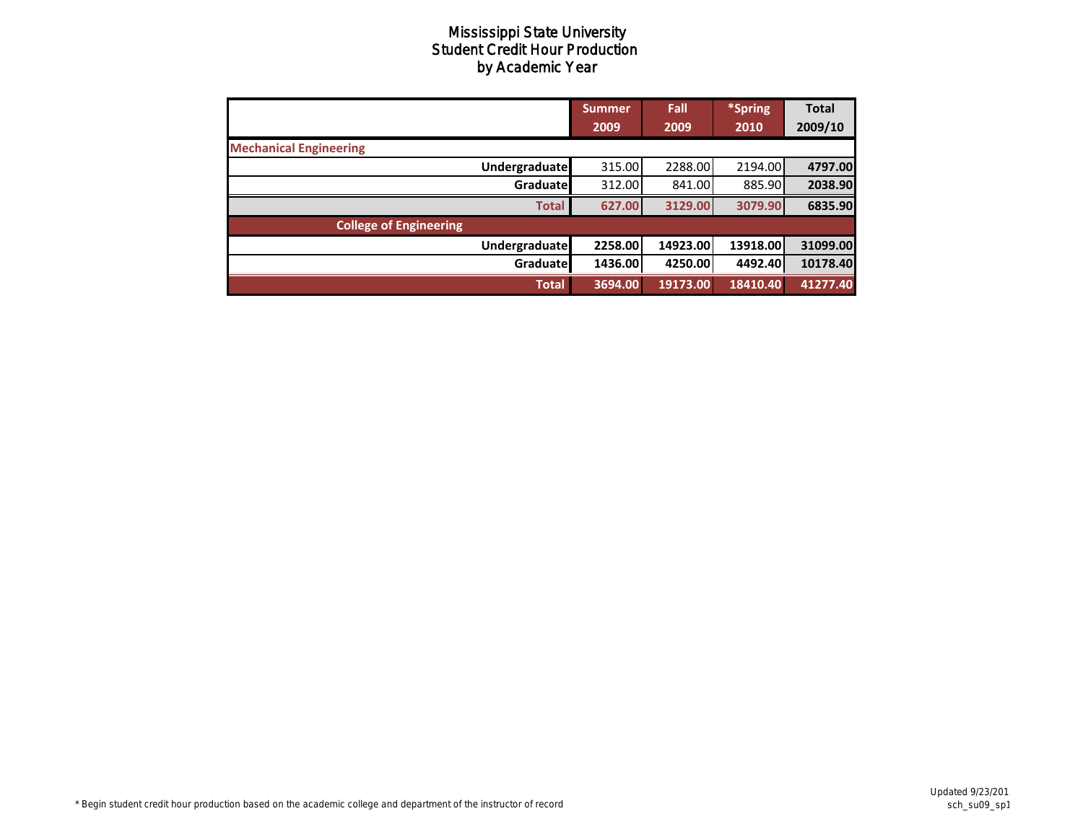|                               | Summer<br>2009 | Fall<br>2009 | *Spring<br>2010 | <b>Total</b><br>2009/10 |
|-------------------------------|----------------|--------------|-----------------|-------------------------|
| <b>Mechanical Engineering</b> |                |              |                 |                         |
| Undergraduate                 | 315.00         | 2288.00      | 2194.00         | 4797.00                 |
| Graduatel                     | 312.00         | 841.00       | 885.90          | 2038.90                 |
| <b>Total</b>                  | 627.00         | 3129.00      | 3079.90         | 6835.90                 |
| <b>College of Engineering</b> |                |              |                 |                         |
| <b>Undergraduate</b>          | 2258.00        | 14923.00     | 13918.00        | 31099.00                |
| Graduate                      | 1436.00        | 4250.00      | 4492.40         | 10178.40                |
| <b>Total</b>                  | 3694.00        | 19173.00     | 18410.40        | 41277.40                |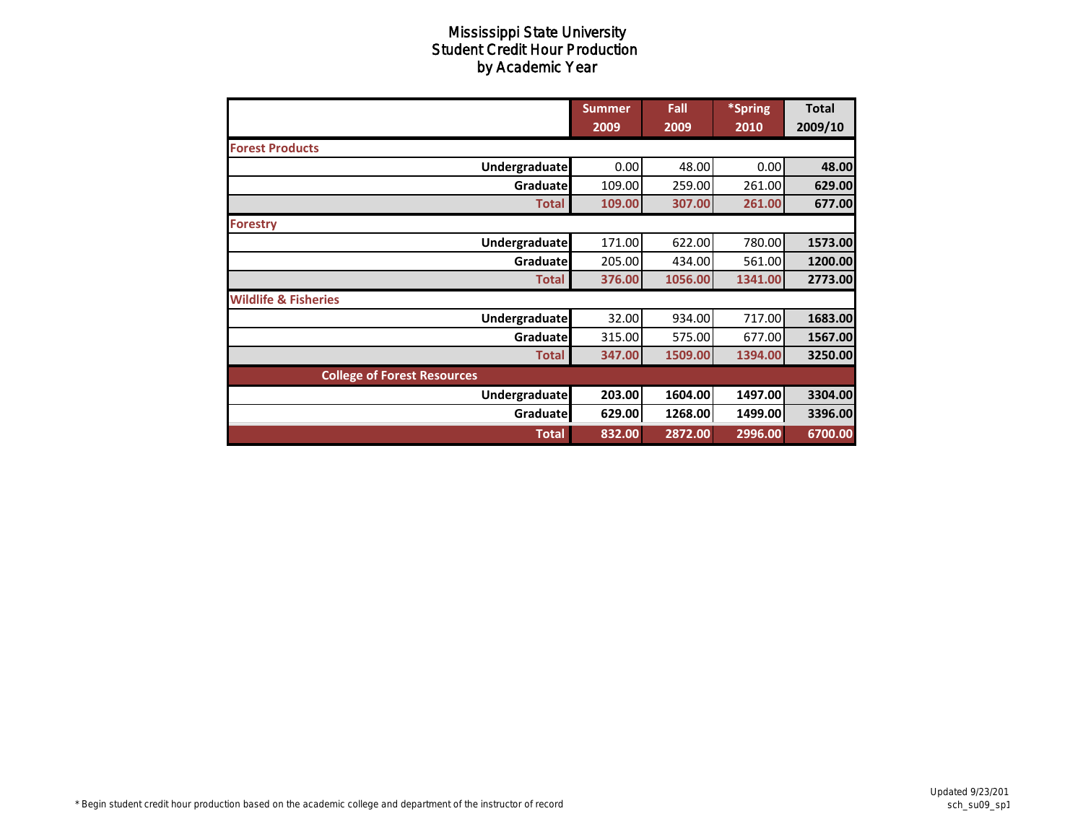|                                    | <b>Summer</b><br>2009 | Fall<br>2009 | *Spring<br>2010 | Total<br>2009/10 |
|------------------------------------|-----------------------|--------------|-----------------|------------------|
| <b>Forest Products</b>             |                       |              |                 |                  |
| <b>Undergraduate</b>               | 0.00                  | 48.00        | 0.00            | 48.00            |
| Graduate                           | 109.00                | 259.00       | 261.00          | 629.00           |
| <b>Total</b>                       | 109.00                | 307.00       | 261.00          | 677.00           |
| <b>Forestry</b>                    |                       |              |                 |                  |
| Undergraduate                      | 171.00                | 622.00       | 780.00          | 1573.00          |
| Graduatel                          | 205.00                | 434.00       | 561.00          | 1200.00          |
| <b>Total</b>                       | 376.00                | 1056.00      | 1341.00         | 2773.00          |
| <b>Wildlife &amp; Fisheries</b>    |                       |              |                 |                  |
| <b>Undergraduate</b>               | 32.00                 | 934.00       | 717.00          | 1683.00          |
| Graduate                           | 315.00                | 575.00       | 677.00          | 1567.00          |
| <b>Total</b>                       | 347.00                | 1509.00      | 1394.00         | 3250.00          |
| <b>College of Forest Resources</b> |                       |              |                 |                  |
| <b>Undergraduate</b>               | 203.00                | 1604.00      | 1497.00         | 3304.00          |
| Graduate                           | 629.00                | 1268.00      | 1499.00         | 3396.00          |
| <b>Total</b>                       | 832.00                | 2872.00      | 2996.00         | 6700.00          |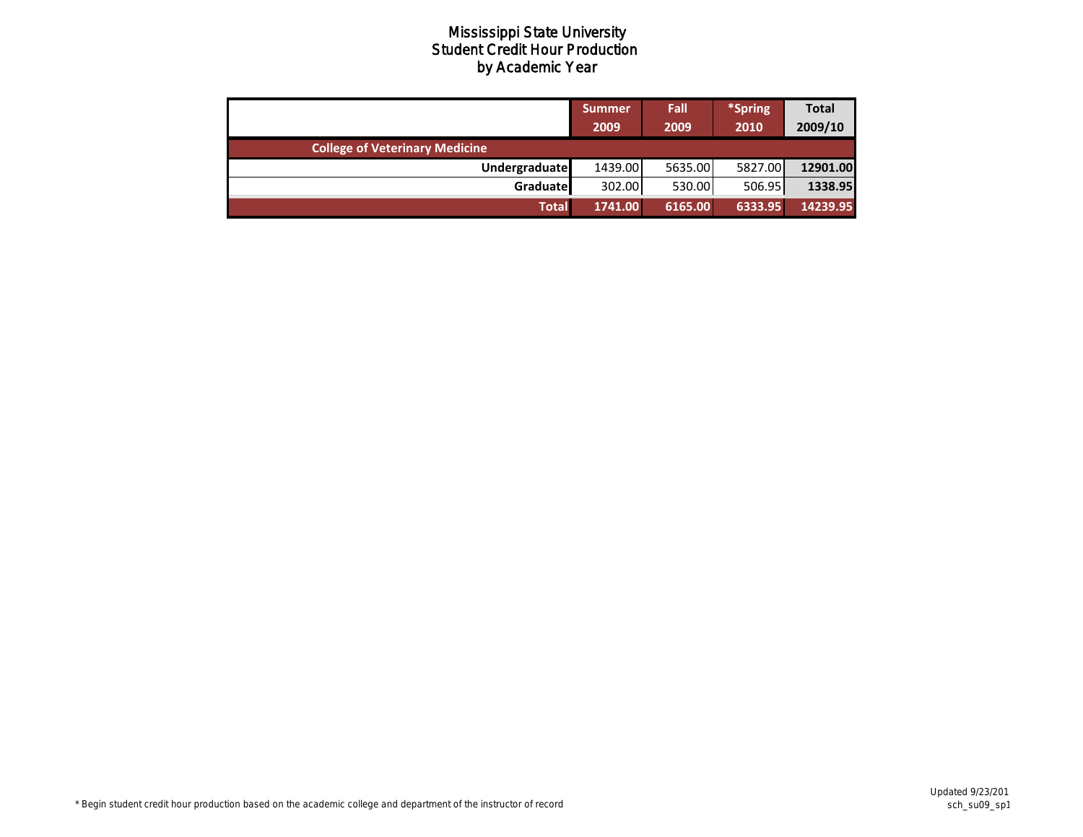|                                       | <b>Summer</b><br>2009 | Fall<br>2009 | *Spring<br>2010 | <b>Total</b><br>2009/10 |
|---------------------------------------|-----------------------|--------------|-----------------|-------------------------|
| <b>College of Veterinary Medicine</b> |                       |              |                 |                         |
| <b>Undergraduate</b>                  | 1439.00               | 5635.00      | 5827.00         | 12901.00                |
| Graduate                              | 302.00                | 530.00       | 506.95          | 1338.95                 |
| <b>Total</b>                          | 1741.00               | 6165.00      | 6333.95         | 14239.95                |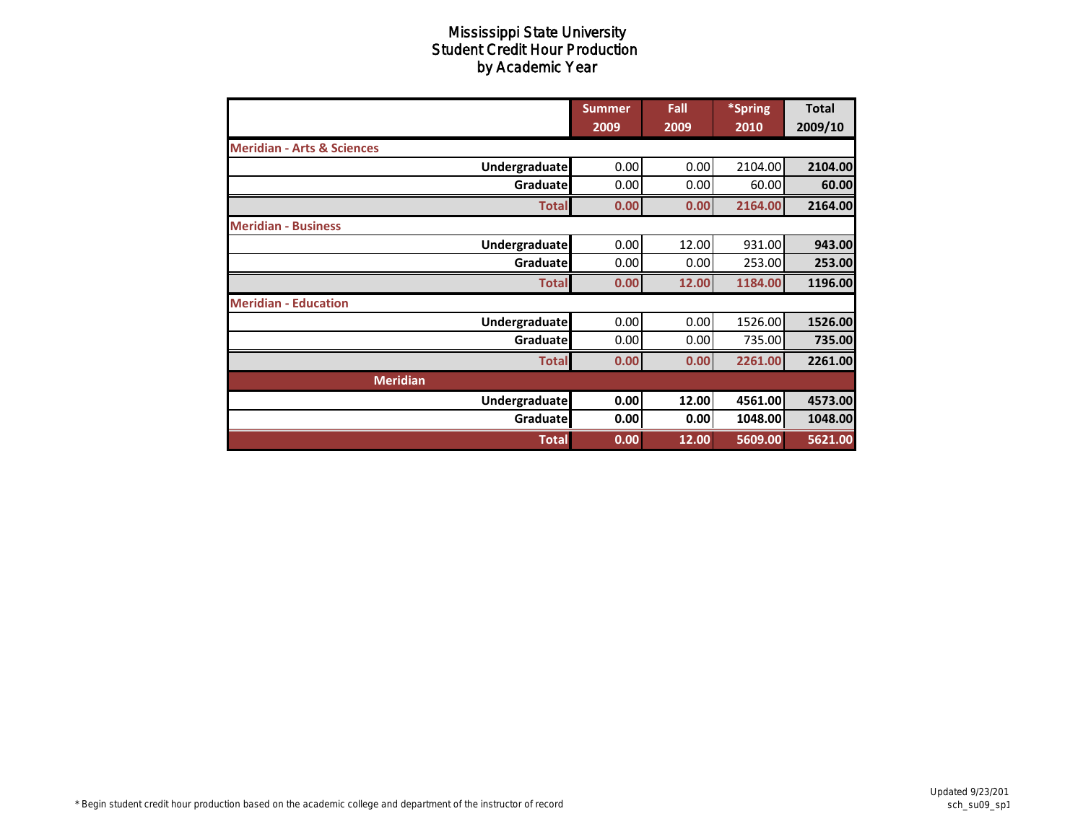|                                       | <b>Summer</b><br>2009 | Fall<br>2009 | *Spring<br>2010 | <b>Total</b><br>2009/10 |
|---------------------------------------|-----------------------|--------------|-----------------|-------------------------|
| <b>Meridian - Arts &amp; Sciences</b> |                       |              |                 |                         |
| <b>Undergraduate</b>                  | 0.00                  | 0.00         | 2104.00         | 2104.00                 |
| Graduate                              | 0.00                  | 0.00         | 60.00           | 60.00                   |
| <b>Total</b>                          | 0.00                  | 0.00         | 2164.00         | 2164.00                 |
| <b>Meridian - Business</b>            |                       |              |                 |                         |
| Undergraduate                         | 0.00                  | 12.00        | 931.00          | 943.00                  |
| Graduate                              | 0.00                  | 0.00         | 253.00          | 253.00                  |
| <b>Total</b>                          | 0.00                  | 12.00        | 1184.00         | 1196.00                 |
| <b>Meridian - Education</b>           |                       |              |                 |                         |
| <b>Undergraduate</b>                  | 0.00                  | 0.00         | 1526.00         | 1526.00                 |
| Graduate                              | 0.00                  | 0.00         | 735.00          | 735.00                  |
| <b>Total</b>                          | 0.00                  | 0.00         | 2261.00         | 2261.00                 |
| <b>Meridian</b>                       |                       |              |                 |                         |
| <b>Undergraduate</b>                  | 0.00                  | 12.00        | 4561.00         | 4573.00                 |
| Graduate                              | 0.00                  | 0.00         | 1048.00         | 1048.00                 |
| <b>Total</b>                          | 0.00                  | 12.00        | 5609.00         | 5621.00                 |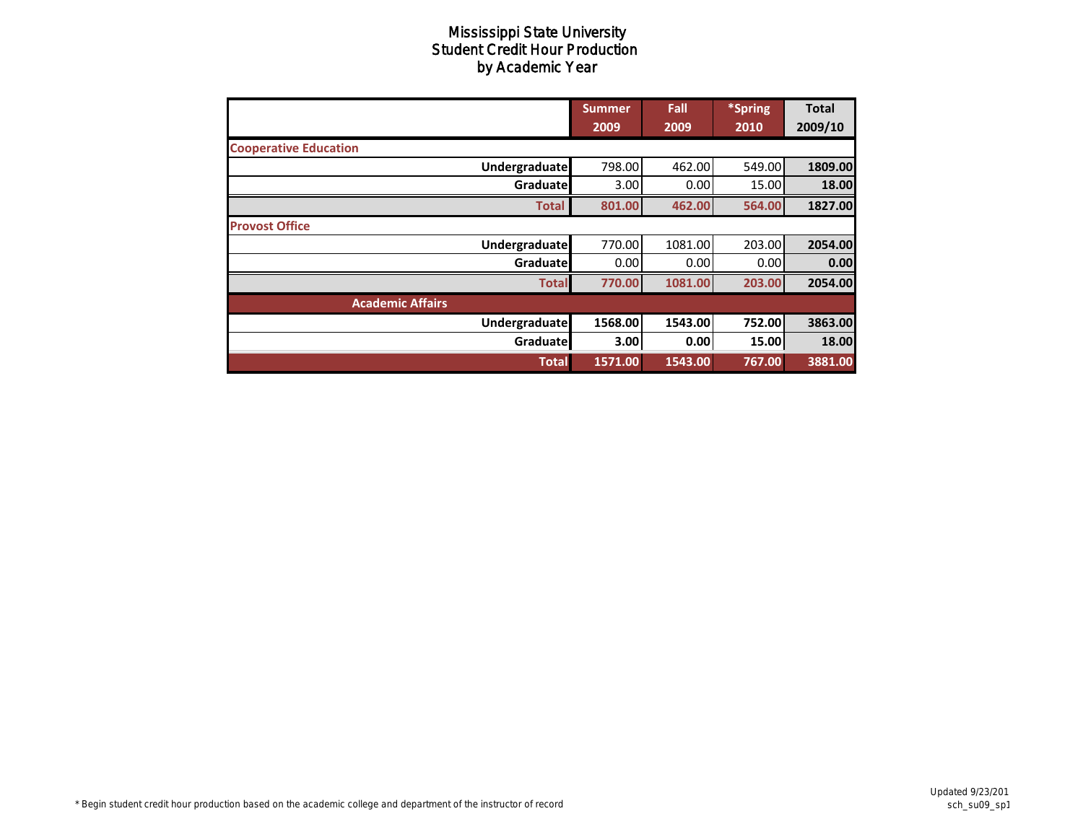|                              | <b>Summer</b> | Fall    | *Spring | <b>Total</b> |
|------------------------------|---------------|---------|---------|--------------|
|                              | 2009          | 2009    | 2010    | 2009/10      |
| <b>Cooperative Education</b> |               |         |         |              |
| Undergraduate                | 798.00        | 462.00  | 549.00  | 1809.00      |
| Graduate                     | 3.00          | 0.00    | 15.00   | 18.00        |
| <b>Total</b>                 | 801.00        | 462.00  | 564.00  | 1827.00      |
| <b>Provost Office</b>        |               |         |         |              |
| <b>Undergraduate</b>         | 770.00        | 1081.00 | 203.00  | 2054.00      |
| Graduate                     | 0.00          | 0.00    | 0.001   | 0.00         |
| <b>Total</b>                 | 770.00        | 1081.00 | 203.00  | 2054.00      |
| <b>Academic Affairs</b>      |               |         |         |              |
| Undergraduate                | 1568.00       | 1543.00 | 752.00  | 3863.00      |
| Graduate                     | 3.00          | 0.00    | 15.00   | 18.00        |
| <b>Total</b>                 | 1571.00       | 1543.00 | 767.00  | 3881.00      |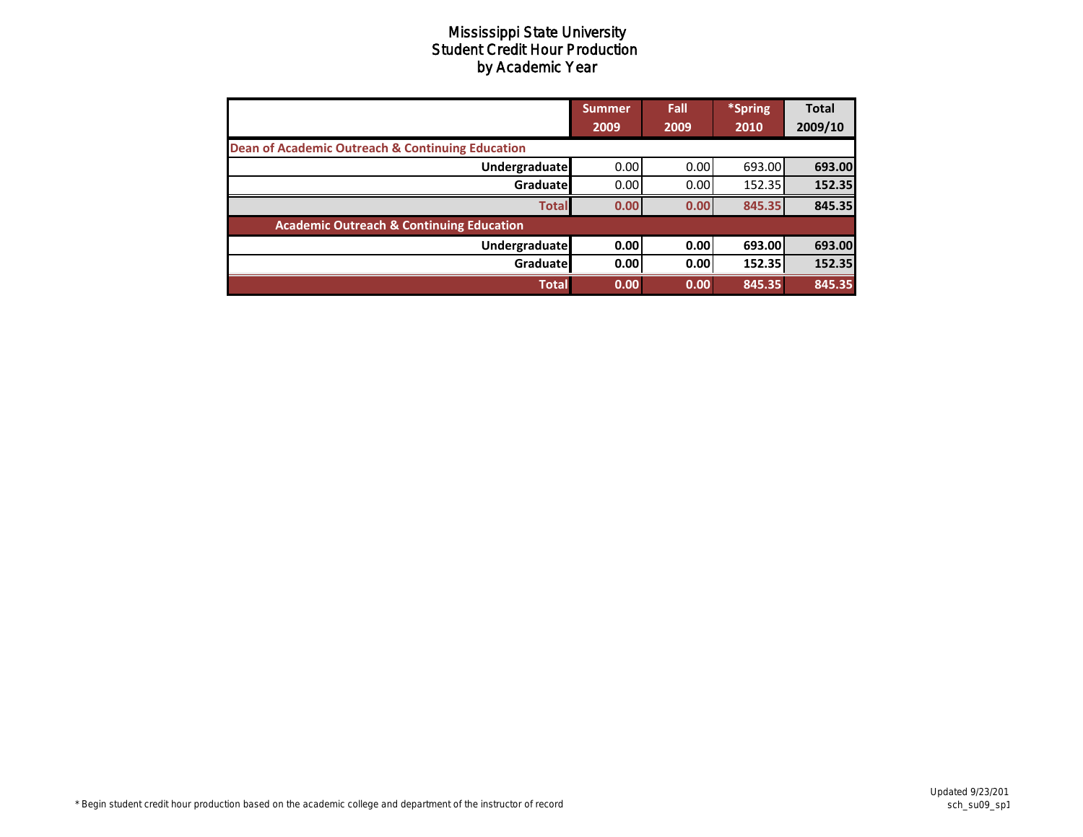|                                                             | <b>Summer</b><br>2009 | Fall<br>2009 | *Spring<br>2010 | <b>Total</b><br>2009/10 |
|-------------------------------------------------------------|-----------------------|--------------|-----------------|-------------------------|
| <b>Dean of Academic Outreach &amp; Continuing Education</b> |                       |              |                 |                         |
| <b>Undergraduate</b>                                        | 0.00                  | 0.00         | 693.00          | 693.00                  |
| Graduate                                                    | 0.00                  | 0.00         | 152.35          | 152.35                  |
| <b>Total</b>                                                | 0.00                  | 0.00         | 845.35          | 845.35                  |
| <b>Academic Outreach &amp; Continuing Education</b>         |                       |              |                 |                         |
| <b>Undergraduate</b>                                        | 0.00                  | 0.00         | 693.00          | 693.00                  |
| Graduate                                                    | 0.00                  | 0.00         | 152.35          | 152.35                  |
| <b>Total</b>                                                | 0.00                  | 0.00         | 845.35          | 845.35                  |

**Updated 9/23/201** sch\_su09\_sp1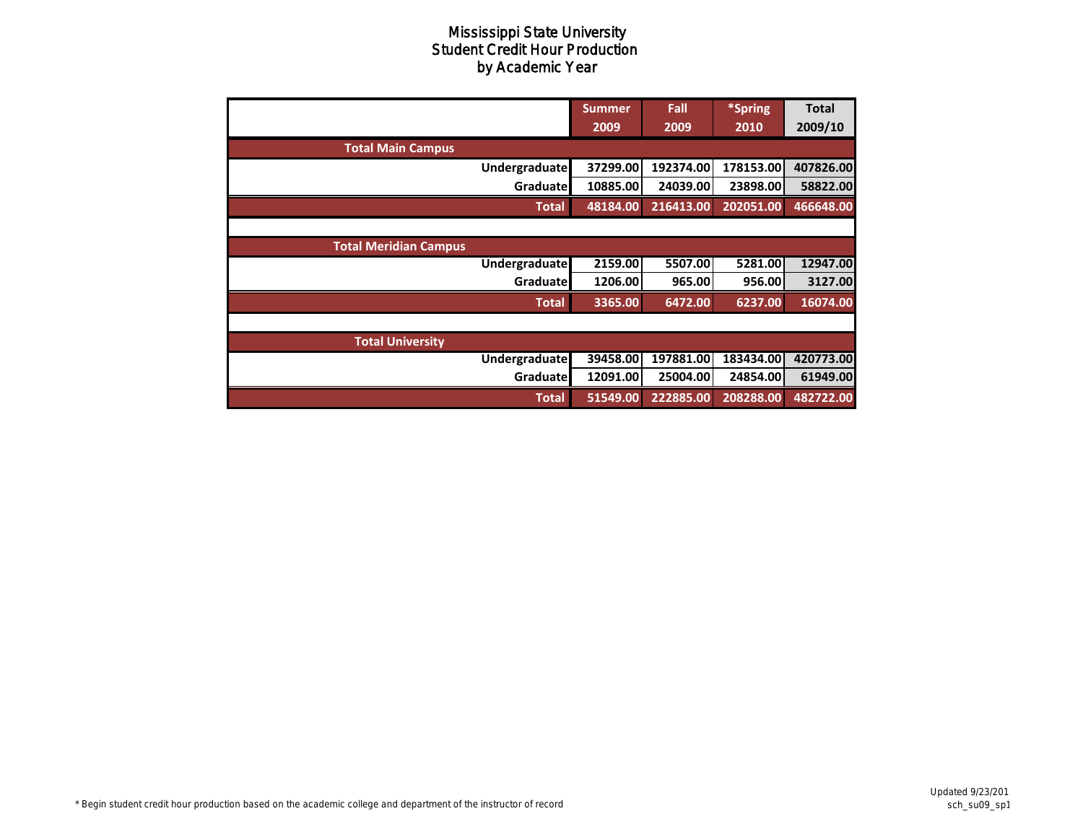|                              | <b>Summer</b> | Fall      | *Spring   | <b>Total</b> |
|------------------------------|---------------|-----------|-----------|--------------|
|                              | 2009          | 2009      | 2010      | 2009/10      |
| <b>Total Main Campus</b>     |               |           |           |              |
| <b>Undergraduate</b>         | 37299.00      | 192374.00 | 178153.00 | 407826.00    |
| Graduatel                    | 10885.00      | 24039.00  | 23898.00  | 58822.00     |
| <b>Total</b>                 | 48184.00      | 216413.00 | 202051.00 | 466648.00    |
|                              |               |           |           |              |
| <b>Total Meridian Campus</b> |               |           |           |              |
| Undergraduate                | 2159.00       | 5507.00   | 5281.00   | 12947.00     |
| Graduatel                    | 1206.00       | 965.00    | 956.00    | 3127.00      |
| <b>Total</b>                 | 3365.00       | 6472.00   | 6237.00   | 16074.00     |
|                              |               |           |           |              |
| <b>Total University</b>      |               |           |           |              |
| Undergraduate                | 39458.00      | 197881.00 | 183434.00 | 420773.00    |
| Graduate                     | 12091.00      | 25004.00  | 24854.00  | 61949.00     |
| <b>Total</b>                 | 51549.00      | 222885.00 | 208288.00 | 482722.00    |